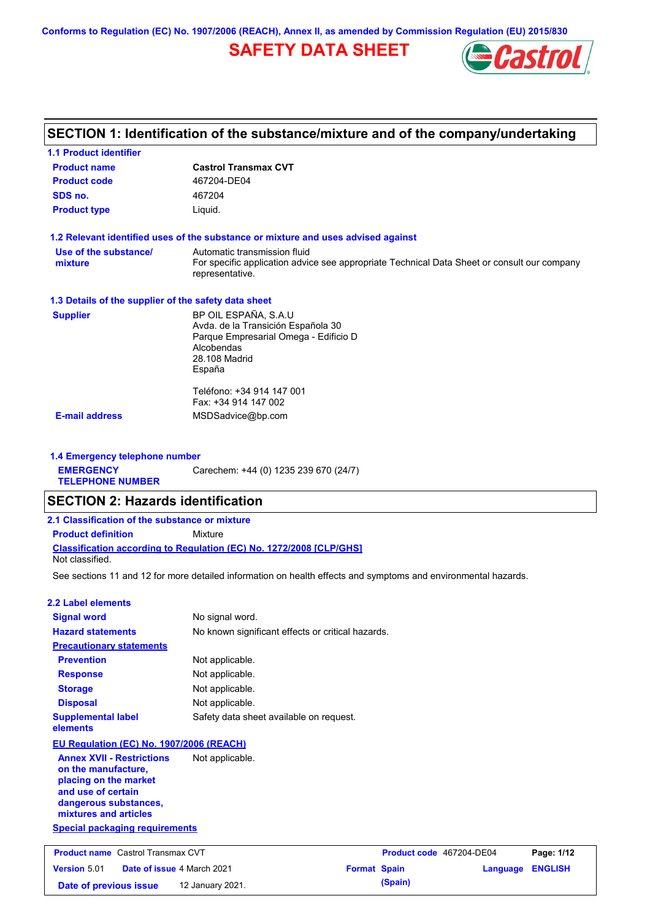**Conforms to Regulation (EC) No. 1907/2006 (REACH), Annex II, as amended by Commission Regulation (EU) 2015/830**

# **SAFETY DATA SHEET**



## **SECTION 1: Identification of the substance/mixture and of the company/undertaking**

| <b>1.1 Product identifier</b>                        |                                                                                                                |
|------------------------------------------------------|----------------------------------------------------------------------------------------------------------------|
| <b>Product name</b>                                  | <b>Castrol Transmax CVT</b>                                                                                    |
| <b>Product code</b>                                  | 467204-DE04                                                                                                    |
| SDS no.                                              | 467204                                                                                                         |
| <b>Product type</b>                                  | Liquid.                                                                                                        |
|                                                      | 1.2 Relevant identified uses of the substance or mixture and uses advised against                              |
| Use of the substance/                                | Automatic transmission fluid                                                                                   |
| mixture                                              | For specific application advice see appropriate Technical Data Sheet or consult our company<br>representative. |
| 1.3 Details of the supplier of the safety data sheet |                                                                                                                |
| <b>Supplier</b>                                      | BP OIL ESPAÑA, S.A.U                                                                                           |
|                                                      | Avda. de la Transición Española 30                                                                             |
|                                                      | Parque Empresarial Omega - Edificio D                                                                          |
|                                                      | Alcobendas<br>28.108 Madrid                                                                                    |
|                                                      | España                                                                                                         |
|                                                      | Teléfono: +34 914 147 001                                                                                      |
|                                                      | Fax: +34 914 147 002                                                                                           |
| <b>E-mail address</b>                                | MSDSadvice@bp.com                                                                                              |
|                                                      |                                                                                                                |

**1.4 Emergency telephone number EMERGENCY TELEPHONE NUMBER** Carechem: +44 (0) 1235 239 670 (24/7)

## **SECTION 2: Hazards identification**

| 2.1 Classification of the substance or mixture |                                                                            |
|------------------------------------------------|----------------------------------------------------------------------------|
| <b>Product definition</b>                      | Mixture                                                                    |
| Not classified.                                | <b>Classification according to Regulation (EC) No. 1272/2008 ICLP/GHS1</b> |

See sections 11 and 12 for more detailed information on health effects and symptoms and environmental hazards.

#### **2.2 Label elements**

| <b>Signal word</b>                                                                                                                                       | No signal word.                                   |
|----------------------------------------------------------------------------------------------------------------------------------------------------------|---------------------------------------------------|
| <b>Hazard statements</b>                                                                                                                                 | No known significant effects or critical hazards. |
| <b>Precautionary statements</b>                                                                                                                          |                                                   |
| <b>Prevention</b>                                                                                                                                        | Not applicable.                                   |
| <b>Response</b>                                                                                                                                          | Not applicable.                                   |
| <b>Storage</b>                                                                                                                                           | Not applicable.                                   |
| <b>Disposal</b>                                                                                                                                          | Not applicable.                                   |
| <b>Supplemental label</b><br>elements                                                                                                                    | Safety data sheet available on request.           |
| EU Regulation (EC) No. 1907/2006 (REACH)                                                                                                                 |                                                   |
| <b>Annex XVII - Restrictions</b><br>on the manufacture,<br>placing on the market<br>and use of certain<br>dangerous substances,<br>mixtures and articles | Not applicable.                                   |
| <b>Special packaging requirements</b>                                                                                                                    |                                                   |

| <b>Product name</b> Castrol Transmax CVT |  | Product code 467204-DE04          |                     | Page: 1/12 |                         |  |
|------------------------------------------|--|-----------------------------------|---------------------|------------|-------------------------|--|
| Version 5.01                             |  | <b>Date of issue 4 March 2021</b> | <b>Format Spain</b> |            | <b>Language ENGLISH</b> |  |
| Date of previous issue                   |  | 12 January 2021.                  |                     | (Spain)    |                         |  |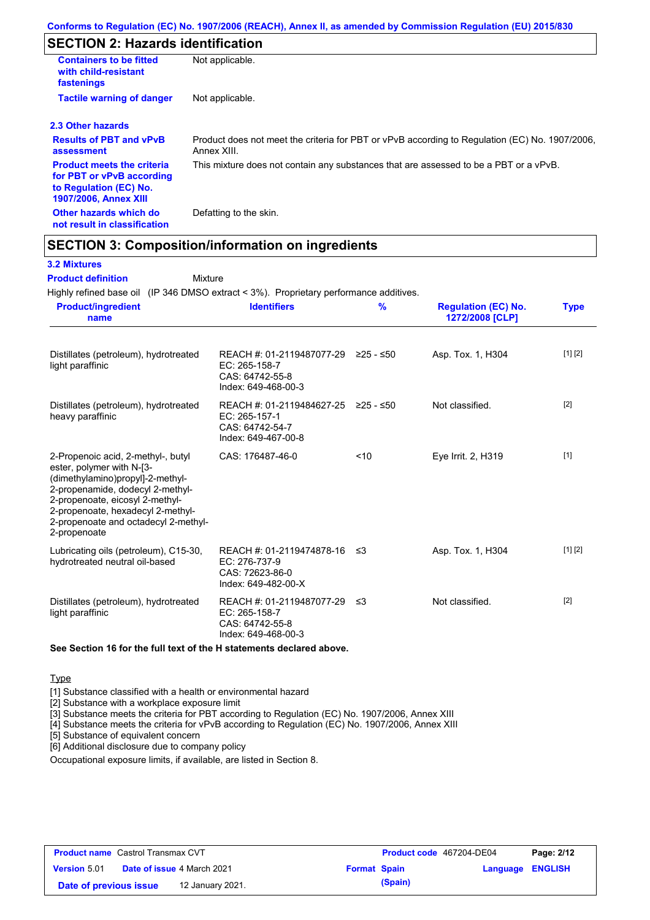## **SECTION 2: Hazards identification**

| <b>Containers to be fitted</b><br>with child-resistant<br>fastenings                                                     | Not applicable.                                                                                               |
|--------------------------------------------------------------------------------------------------------------------------|---------------------------------------------------------------------------------------------------------------|
| <b>Tactile warning of danger</b>                                                                                         | Not applicable.                                                                                               |
| 2.3 Other hazards                                                                                                        |                                                                                                               |
| <b>Results of PBT and vPvB</b><br>assessment                                                                             | Product does not meet the criteria for PBT or vPvB according to Regulation (EC) No. 1907/2006,<br>Annex XIII. |
| <b>Product meets the criteria</b><br>for PBT or vPvB according<br>to Regulation (EC) No.<br><b>1907/2006, Annex XIII</b> | This mixture does not contain any substances that are assessed to be a PBT or a vPvB.                         |
| Other hazards which do<br>not result in classification                                                                   | Defatting to the skin.                                                                                        |

## **SECTION 3: Composition/information on ingredients**

| Highly refined base oil (IP 346 DMSO extract < 3%). Proprietary performance additives.                                                                                                                                                                                  |                                                                                                |               |                                               |             |
|-------------------------------------------------------------------------------------------------------------------------------------------------------------------------------------------------------------------------------------------------------------------------|------------------------------------------------------------------------------------------------|---------------|-----------------------------------------------|-------------|
| <b>Product/ingredient</b><br>name                                                                                                                                                                                                                                       | <b>Identifiers</b>                                                                             | $\frac{9}{6}$ | <b>Regulation (EC) No.</b><br>1272/2008 [CLP] | <b>Type</b> |
| Distillates (petroleum), hydrotreated<br>light paraffinic                                                                                                                                                                                                               | REACH #: 01-2119487077-29 ≥25 - ≤50<br>EC: 265-158-7<br>CAS: 64742-55-8<br>Index: 649-468-00-3 |               | Asp. Tox. 1, H304                             | [1] [2]     |
| Distillates (petroleum), hydrotreated<br>heavy paraffinic                                                                                                                                                                                                               | REACH #: 01-2119484627-25 ≥25 - ≤50<br>EC: 265-157-1<br>CAS: 64742-54-7<br>Index: 649-467-00-8 |               | Not classified.                               | $[2]$       |
| 2-Propenoic acid, 2-methyl-, butyl<br>ester, polymer with N-[3-<br>(dimethylamino)propyl]-2-methyl-<br>2-propenamide, dodecyl 2-methyl-<br>2-propenoate, eicosyl 2-methyl-<br>2-propenoate, hexadecyl 2-methyl-<br>2-propenoate and octadecyl 2-methyl-<br>2-propenoate | CAS: 176487-46-0                                                                               | 10            | Eye Irrit. 2, H319                            | $[1]$       |
| Lubricating oils (petroleum), C15-30,<br>hydrotreated neutral oil-based                                                                                                                                                                                                 | REACH #: 01-2119474878-16 ≤3<br>EC: 276-737-9<br>CAS: 72623-86-0<br>Index: 649-482-00-X        |               | Asp. Tox. 1, H304                             | [1] [2]     |
| Distillates (petroleum), hydrotreated<br>light paraffinic                                                                                                                                                                                                               | REACH #: 01-2119487077-29<br>EC: 265-158-7<br>CAS: 64742-55-8<br>Index: 649-468-00-3           | ≲3            | Not classified.                               | $[2]$       |

**See Section 16 for the full text of the H statements declared above.**

Type

[1] Substance classified with a health or environmental hazard

[2] Substance with a workplace exposure limit

[3] Substance meets the criteria for PBT according to Regulation (EC) No. 1907/2006, Annex XIII

[4] Substance meets the criteria for vPvB according to Regulation (EC) No. 1907/2006, Annex XIII

[5] Substance of equivalent concern

[6] Additional disclosure due to company policy

Occupational exposure limits, if available, are listed in Section 8.

| <b>Product name</b> Castrol Transmax CVT |  |                                   | <b>Product code</b> 467204-DE04 |         | Page: 2/12       |  |
|------------------------------------------|--|-----------------------------------|---------------------------------|---------|------------------|--|
| <b>Version</b> 5.01                      |  | <b>Date of issue 4 March 2021</b> | <b>Format Spain</b>             |         | Language ENGLISH |  |
| Date of previous issue                   |  | 12 January 2021.                  |                                 | (Spain) |                  |  |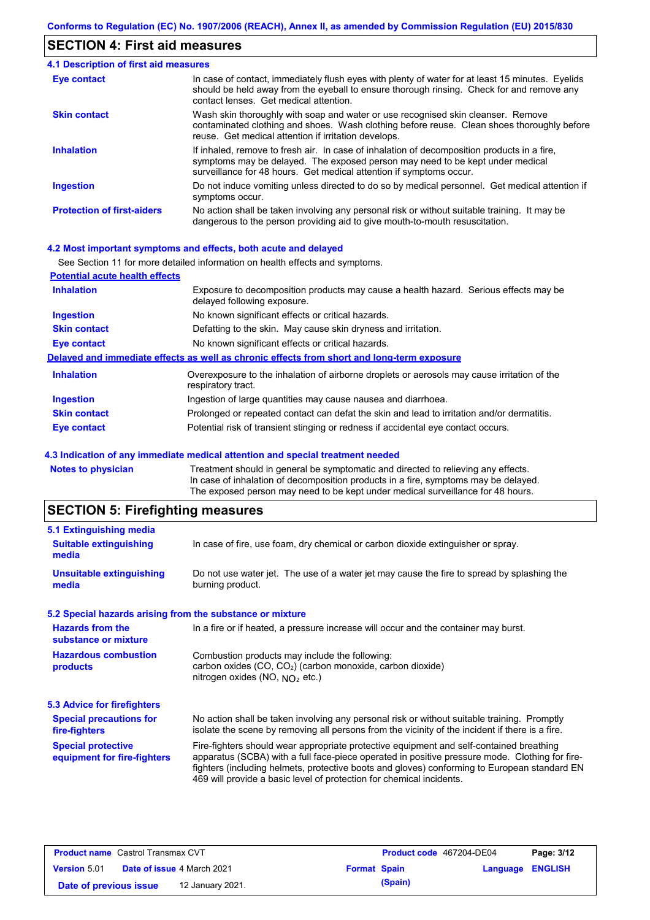#### **SECTION 4: First aid measures**

#### Do not induce vomiting unless directed to do so by medical personnel. Get medical attention if symptoms occur. In case of contact, immediately flush eyes with plenty of water for at least 15 minutes. Eyelids should be held away from the eyeball to ensure thorough rinsing. Check for and remove any contact lenses. Get medical attention. **4.1 Description of first aid measures** If inhaled, remove to fresh air. In case of inhalation of decomposition products in a fire, symptoms may be delayed. The exposed person may need to be kept under medical surveillance for 48 hours. Get medical attention if symptoms occur. **Ingestion Inhalation Eye contact Protection of first-aiders** No action shall be taken involving any personal risk or without suitable training. It may be dangerous to the person providing aid to give mouth-to-mouth resuscitation. **Skin contact** Wash skin thoroughly with soap and water or use recognised skin cleanser. Remove contaminated clothing and shoes. Wash clothing before reuse. Clean shoes thoroughly before reuse. Get medical attention if irritation develops.

#### **4.2 Most important symptoms and effects, both acute and delayed**

|                                       | See Section 11 for more detailed information on health effects and symptoms.                                        |
|---------------------------------------|---------------------------------------------------------------------------------------------------------------------|
| <b>Potential acute health effects</b> |                                                                                                                     |
| <b>Inhalation</b>                     | Exposure to decomposition products may cause a health hazard. Serious effects may be<br>delayed following exposure. |
| <b>Ingestion</b>                      | No known significant effects or critical hazards.                                                                   |
| <b>Skin contact</b>                   | Defatting to the skin. May cause skin dryness and irritation.                                                       |
| Eye contact                           | No known significant effects or critical hazards.                                                                   |
|                                       | Delayed and immediate effects as well as chronic effects from short and long-term exposure                          |
| <b>Inhalation</b>                     | Overexposure to the inhalation of airborne droplets or aerosols may cause irritation of the<br>respiratory tract.   |
| <b>Ingestion</b>                      | Ingestion of large quantities may cause nausea and diarrhoea.                                                       |
| <b>Skin contact</b>                   | Prolonged or repeated contact can defat the skin and lead to irritation and/or dermatitis.                          |
| <b>Eye contact</b>                    | Potential risk of transient stinging or redness if accidental eye contact occurs.                                   |

#### **4.3 Indication of any immediate medical attention and special treatment needed**

| <b>Notes to physician</b> | Treatment should in general be symptomatic and directed to relieving any effects.   |
|---------------------------|-------------------------------------------------------------------------------------|
|                           | In case of inhalation of decomposition products in a fire, symptoms may be delayed. |
|                           | The exposed person may need to be kept under medical surveillance for 48 hours.     |
|                           |                                                                                     |

### **SECTION 5: Firefighting measures**

| 5.1 Extinguishing media                                   |                                                                                                                                                                                                                                                                                                                                                                   |
|-----------------------------------------------------------|-------------------------------------------------------------------------------------------------------------------------------------------------------------------------------------------------------------------------------------------------------------------------------------------------------------------------------------------------------------------|
| <b>Suitable extinguishing</b><br>media                    | In case of fire, use foam, dry chemical or carbon dioxide extinguisher or spray.                                                                                                                                                                                                                                                                                  |
| <b>Unsuitable extinguishing</b><br>media                  | Do not use water jet. The use of a water jet may cause the fire to spread by splashing the<br>burning product.                                                                                                                                                                                                                                                    |
| 5.2 Special hazards arising from the substance or mixture |                                                                                                                                                                                                                                                                                                                                                                   |
| <b>Hazards from the</b><br>substance or mixture           | In a fire or if heated, a pressure increase will occur and the container may burst.                                                                                                                                                                                                                                                                               |
| <b>Hazardous combustion</b><br>products                   | Combustion products may include the following:<br>carbon oxides (CO, CO2) (carbon monoxide, carbon dioxide)<br>nitrogen oxides (NO, $NQ_2$ etc.)                                                                                                                                                                                                                  |
| 5.3 Advice for firefighters                               |                                                                                                                                                                                                                                                                                                                                                                   |
| <b>Special precautions for</b><br>fire-fighters           | No action shall be taken involving any personal risk or without suitable training. Promptly<br>isolate the scene by removing all persons from the vicinity of the incident if there is a fire.                                                                                                                                                                    |
| <b>Special protective</b><br>equipment for fire-fighters  | Fire-fighters should wear appropriate protective equipment and self-contained breathing<br>apparatus (SCBA) with a full face-piece operated in positive pressure mode. Clothing for fire-<br>fighters (including helmets, protective boots and gloves) conforming to European standard EN<br>469 will provide a basic level of protection for chemical incidents. |
|                                                           |                                                                                                                                                                                                                                                                                                                                                                   |

| <b>Product name</b> Castrol Transmax CVT |  | <b>Product code</b> 467204-DE04   |                     | Page: 3/12 |                  |  |
|------------------------------------------|--|-----------------------------------|---------------------|------------|------------------|--|
| <b>Version 5.01</b>                      |  | <b>Date of issue 4 March 2021</b> | <b>Format Spain</b> |            | Language ENGLISH |  |
| Date of previous issue                   |  | 12 January 2021.                  |                     | (Spain)    |                  |  |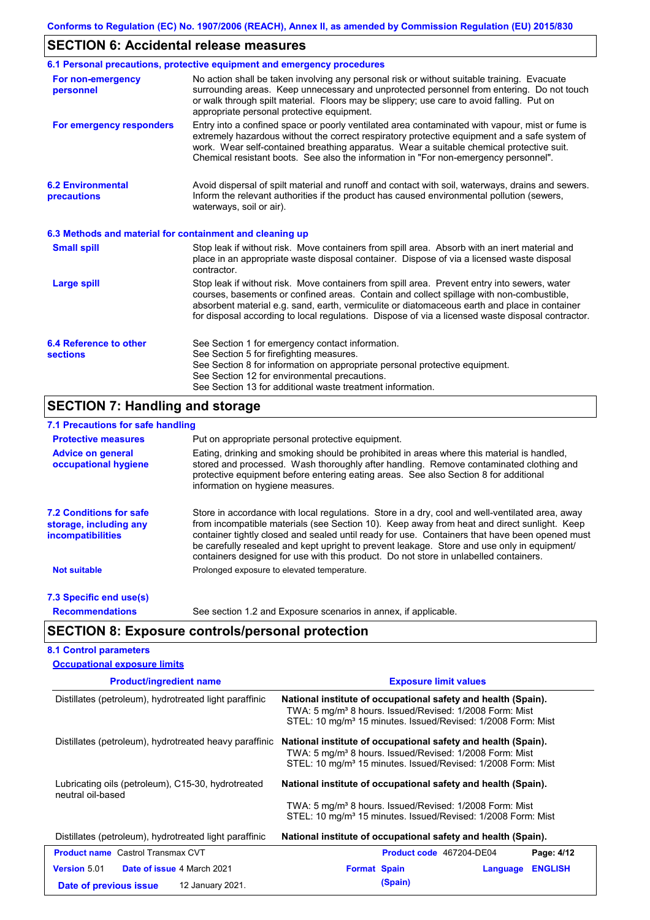## **SECTION 6: Accidental release measures**

|                                                          | 6.1 Personal precautions, protective equipment and emergency procedures                                                                                                                                                                                                                                                                                                                        |
|----------------------------------------------------------|------------------------------------------------------------------------------------------------------------------------------------------------------------------------------------------------------------------------------------------------------------------------------------------------------------------------------------------------------------------------------------------------|
| For non-emergency<br>personnel                           | No action shall be taken involving any personal risk or without suitable training. Evacuate<br>surrounding areas. Keep unnecessary and unprotected personnel from entering. Do not touch<br>or walk through spilt material. Floors may be slippery; use care to avoid falling. Put on<br>appropriate personal protective equipment.                                                            |
| For emergency responders                                 | Entry into a confined space or poorly ventilated area contaminated with vapour, mist or fume is<br>extremely hazardous without the correct respiratory protective equipment and a safe system of<br>work. Wear self-contained breathing apparatus. Wear a suitable chemical protective suit.<br>Chemical resistant boots. See also the information in "For non-emergency personnel".           |
| <b>6.2 Environmental</b><br>precautions                  | Avoid dispersal of spilt material and runoff and contact with soil, waterways, drains and sewers.<br>Inform the relevant authorities if the product has caused environmental pollution (sewers,<br>waterways, soil or air).                                                                                                                                                                    |
| 6.3 Methods and material for containment and cleaning up |                                                                                                                                                                                                                                                                                                                                                                                                |
| <b>Small spill</b>                                       | Stop leak if without risk. Move containers from spill area. Absorb with an inert material and<br>place in an appropriate waste disposal container. Dispose of via a licensed waste disposal<br>contractor.                                                                                                                                                                                     |
| <b>Large spill</b>                                       | Stop leak if without risk. Move containers from spill area. Prevent entry into sewers, water<br>courses, basements or confined areas. Contain and collect spillage with non-combustible,<br>absorbent material e.g. sand, earth, vermiculite or diatomaceous earth and place in container<br>for disposal according to local regulations. Dispose of via a licensed waste disposal contractor. |
| 6.4 Reference to other<br><b>sections</b>                | See Section 1 for emergency contact information.<br>See Section 5 for firefighting measures.<br>See Section 8 for information on appropriate personal protective equipment.<br>See Section 12 for environmental precautions.<br>See Section 13 for additional waste treatment information.                                                                                                     |

## **SECTION 7: Handling and storage**

## **7.1 Precautions for safe handling**

| <b>Protective measures</b>                                                           | Put on appropriate personal protective equipment.                                                                                                                                                                                                                                                                                                                                                                                                                                        |
|--------------------------------------------------------------------------------------|------------------------------------------------------------------------------------------------------------------------------------------------------------------------------------------------------------------------------------------------------------------------------------------------------------------------------------------------------------------------------------------------------------------------------------------------------------------------------------------|
| <b>Advice on general</b><br>occupational hygiene                                     | Eating, drinking and smoking should be prohibited in areas where this material is handled,<br>stored and processed. Wash thoroughly after handling. Remove contaminated clothing and<br>protective equipment before entering eating areas. See also Section 8 for additional<br>information on hygiene measures.                                                                                                                                                                         |
| <b>7.2 Conditions for safe</b><br>storage, including any<br><i>incompatibilities</i> | Store in accordance with local requlations. Store in a dry, cool and well-ventilated area, away<br>from incompatible materials (see Section 10). Keep away from heat and direct sunlight. Keep<br>container tightly closed and sealed until ready for use. Containers that have been opened must<br>be carefully resealed and kept upright to prevent leakage. Store and use only in equipment/<br>containers designed for use with this product. Do not store in unlabelled containers. |
| <b>Not suitable</b>                                                                  | Prolonged exposure to elevated temperature.                                                                                                                                                                                                                                                                                                                                                                                                                                              |
| 7.3 Specific end use(s)                                                              |                                                                                                                                                                                                                                                                                                                                                                                                                                                                                          |
| <b>Recommendations</b>                                                               | See section 1.2 and Exposure scenarios in annex, if applicable.                                                                                                                                                                                                                                                                                                                                                                                                                          |

## **SECTION 8: Exposure controls/personal protection**

## **8.1 Control parameters**

| <b>Occupational exposure limits</b>                                                             |                                                                                                                                                                                                                  |
|-------------------------------------------------------------------------------------------------|------------------------------------------------------------------------------------------------------------------------------------------------------------------------------------------------------------------|
| <b>Product/ingredient name</b>                                                                  | <b>Exposure limit values</b>                                                                                                                                                                                     |
| Distillates (petroleum), hydrotreated light paraffinic                                          | National institute of occupational safety and health (Spain).<br>TWA: 5 mg/m <sup>3</sup> 8 hours. Issued/Revised: 1/2008 Form: Mist<br>STEL: 10 mg/m <sup>3</sup> 15 minutes. Issued/Revised: 1/2008 Form: Mist |
| Distillates (petroleum), hydrotreated heavy paraffinic                                          | National institute of occupational safety and health (Spain).<br>TWA: 5 mg/m <sup>3</sup> 8 hours. Issued/Revised: 1/2008 Form: Mist<br>STEL: 10 mg/m <sup>3</sup> 15 minutes. Issued/Revised: 1/2008 Form: Mist |
| Lubricating oils (petroleum), C15-30, hydrotreated<br>neutral oil-based                         | National institute of occupational safety and health (Spain).<br>TWA: 5 mg/m <sup>3</sup> 8 hours. Issued/Revised: 1/2008 Form: Mist<br>STEL: 10 mg/m <sup>3</sup> 15 minutes. Issued/Revised: 1/2008 Form: Mist |
| Distillates (petroleum), hydrotreated light paraffinic                                          | National institute of occupational safety and health (Spain).                                                                                                                                                    |
| <b>Product name</b> Castrol Transmax CVT                                                        | <b>Product code</b> 467204-DE04<br>Page: 4/12                                                                                                                                                                    |
| Date of issue 4 March 2021<br><b>Version 5.01</b><br>12 January 2021.<br>Date of previous issue | <b>ENGLISH</b><br><b>Format Spain</b><br>Language<br>(Spain)                                                                                                                                                     |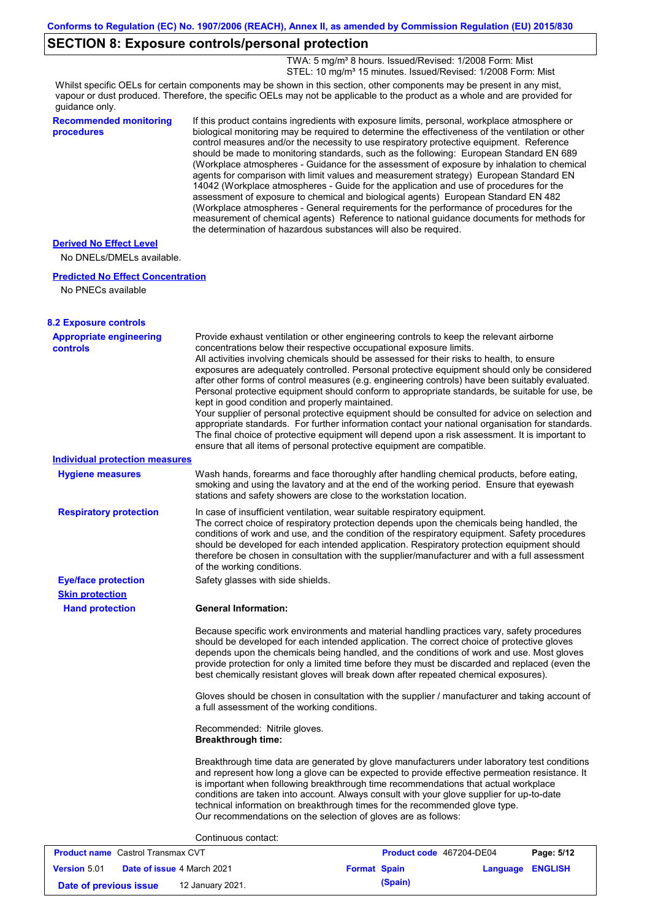## **SECTION 8: Exposure controls/personal protection**

TWA: 5 mg/m<sup>3</sup> 8 hours. Issued/Revised: 1/2008 Form: Mist STEL: 10 mg/m<sup>3</sup> 15 minutes. Issued/Revised: 1/2008 Form: Mist

Whilst specific OELs for certain components may be shown in this section, other components may be present in any mist, vapour or dust produced. Therefore, the specific OELs may not be applicable to the product as a whole and are provided for guidance only.

| guidance only.                                              |                                                                                                                                                                                                                                                                                                                                                                                                                                                                                                                                                                                                                                                                                                                                                                                                                                                                                                                                                                                                                            |
|-------------------------------------------------------------|----------------------------------------------------------------------------------------------------------------------------------------------------------------------------------------------------------------------------------------------------------------------------------------------------------------------------------------------------------------------------------------------------------------------------------------------------------------------------------------------------------------------------------------------------------------------------------------------------------------------------------------------------------------------------------------------------------------------------------------------------------------------------------------------------------------------------------------------------------------------------------------------------------------------------------------------------------------------------------------------------------------------------|
| <b>Recommended monitoring</b><br>procedures                 | If this product contains ingredients with exposure limits, personal, workplace atmosphere or<br>biological monitoring may be required to determine the effectiveness of the ventilation or other<br>control measures and/or the necessity to use respiratory protective equipment. Reference<br>should be made to monitoring standards, such as the following: European Standard EN 689<br>(Workplace atmospheres - Guidance for the assessment of exposure by inhalation to chemical<br>agents for comparison with limit values and measurement strategy) European Standard EN<br>14042 (Workplace atmospheres - Guide for the application and use of procedures for the<br>assessment of exposure to chemical and biological agents) European Standard EN 482<br>(Workplace atmospheres - General requirements for the performance of procedures for the<br>measurement of chemical agents) Reference to national guidance documents for methods for<br>the determination of hazardous substances will also be required. |
| <b>Derived No Effect Level</b><br>No DNELs/DMELs available. |                                                                                                                                                                                                                                                                                                                                                                                                                                                                                                                                                                                                                                                                                                                                                                                                                                                                                                                                                                                                                            |
| <b>Predicted No Effect Concentration</b>                    |                                                                                                                                                                                                                                                                                                                                                                                                                                                                                                                                                                                                                                                                                                                                                                                                                                                                                                                                                                                                                            |
| No PNECs available                                          |                                                                                                                                                                                                                                                                                                                                                                                                                                                                                                                                                                                                                                                                                                                                                                                                                                                                                                                                                                                                                            |
| <b>8.2 Exposure controls</b>                                |                                                                                                                                                                                                                                                                                                                                                                                                                                                                                                                                                                                                                                                                                                                                                                                                                                                                                                                                                                                                                            |
| <b>Appropriate engineering</b><br><b>controls</b>           | Provide exhaust ventilation or other engineering controls to keep the relevant airborne<br>concentrations below their respective occupational exposure limits.<br>All activities involving chemicals should be assessed for their risks to health, to ensure<br>exposures are adequately controlled. Personal protective equipment should only be considered<br>after other forms of control measures (e.g. engineering controls) have been suitably evaluated.<br>Personal protective equipment should conform to appropriate standards, be suitable for use, be<br>kept in good condition and properly maintained.<br>Your supplier of personal protective equipment should be consulted for advice on selection and<br>appropriate standards. For further information contact your national organisation for standards.<br>The final choice of protective equipment will depend upon a risk assessment. It is important to<br>ensure that all items of personal protective equipment are compatible.                    |
| <b>Individual protection measures</b>                       |                                                                                                                                                                                                                                                                                                                                                                                                                                                                                                                                                                                                                                                                                                                                                                                                                                                                                                                                                                                                                            |
| <b>Hygiene measures</b>                                     | Wash hands, forearms and face thoroughly after handling chemical products, before eating,<br>smoking and using the lavatory and at the end of the working period. Ensure that eyewash<br>stations and safety showers are close to the workstation location.                                                                                                                                                                                                                                                                                                                                                                                                                                                                                                                                                                                                                                                                                                                                                                |
| <b>Respiratory protection</b>                               | In case of insufficient ventilation, wear suitable respiratory equipment.<br>The correct choice of respiratory protection depends upon the chemicals being handled, the<br>conditions of work and use, and the condition of the respiratory equipment. Safety procedures<br>should be developed for each intended application. Respiratory protection equipment should<br>therefore be chosen in consultation with the supplier/manufacturer and with a full assessment<br>of the working conditions.                                                                                                                                                                                                                                                                                                                                                                                                                                                                                                                      |
| <b>Eye/face protection</b><br><b>Skin protection</b>        | Safety glasses with side shields.                                                                                                                                                                                                                                                                                                                                                                                                                                                                                                                                                                                                                                                                                                                                                                                                                                                                                                                                                                                          |
| <b>Hand protection</b>                                      | <b>General Information:</b>                                                                                                                                                                                                                                                                                                                                                                                                                                                                                                                                                                                                                                                                                                                                                                                                                                                                                                                                                                                                |
|                                                             | Because specific work environments and material handling practices vary, safety procedures<br>should be developed for each intended application. The correct choice of protective gloves<br>depends upon the chemicals being handled, and the conditions of work and use. Most gloves<br>provide protection for only a limited time before they must be discarded and replaced (even the<br>best chemically resistant gloves will break down after repeated chemical exposures).                                                                                                                                                                                                                                                                                                                                                                                                                                                                                                                                           |
|                                                             | Gloves should be chosen in consultation with the supplier / manufacturer and taking account of<br>a full assessment of the working conditions.                                                                                                                                                                                                                                                                                                                                                                                                                                                                                                                                                                                                                                                                                                                                                                                                                                                                             |
|                                                             | Recommended: Nitrile gloves.<br><b>Breakthrough time:</b>                                                                                                                                                                                                                                                                                                                                                                                                                                                                                                                                                                                                                                                                                                                                                                                                                                                                                                                                                                  |

Breakthrough time data are generated by glove manufacturers under laboratory test conditions and represent how long a glove can be expected to provide effective permeation resistance. It is important when following breakthrough time recommendations that actual workplace conditions are taken into account. Always consult with your glove supplier for up-to-date technical information on breakthrough times for the recommended glove type. Our recommendations on the selection of gloves are as follows:

#### Continuous contact:

| <b>Product name</b> Castrol Transmax CVT                 |  | <b>Product code</b> 467204-DE04 |  | Page: 5/12       |  |  |
|----------------------------------------------------------|--|---------------------------------|--|------------------|--|--|
| <b>Date of issue 4 March 2021</b><br><b>Version 5.01</b> |  | <b>Format Spain</b>             |  | Language ENGLISH |  |  |
| Date of previous issue                                   |  | 12 January 2021.                |  | (Spain)          |  |  |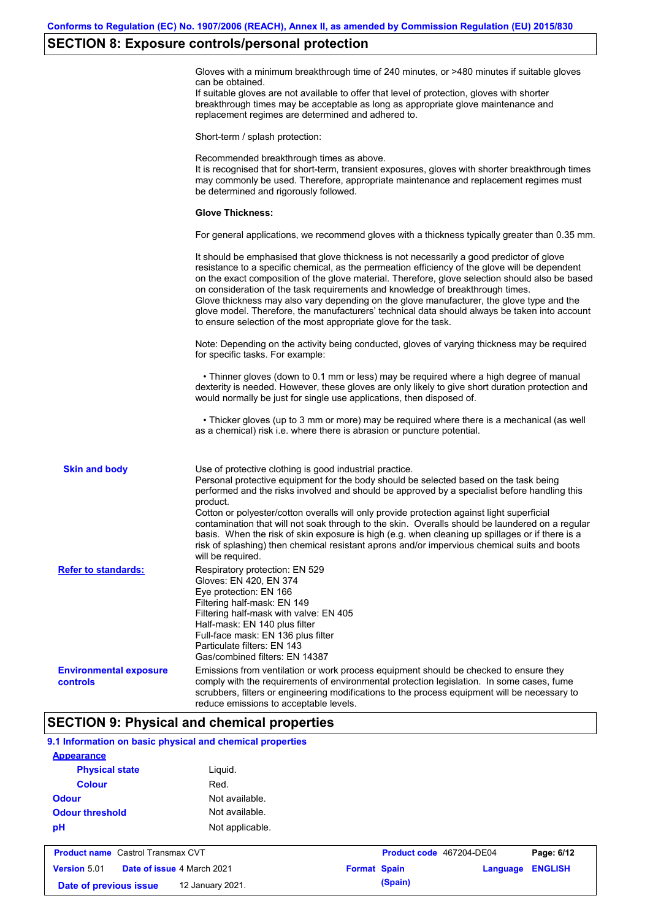#### **SECTION 8: Exposure controls/personal protection**

Gloves with a minimum breakthrough time of 240 minutes, or >480 minutes if suitable gloves can be obtained.

If suitable gloves are not available to offer that level of protection, gloves with shorter breakthrough times may be acceptable as long as appropriate glove maintenance and replacement regimes are determined and adhered to.

Short-term / splash protection:

Recommended breakthrough times as above. It is recognised that for short-term, transient exposures, gloves with shorter breakthrough times may commonly be used. Therefore, appropriate maintenance and replacement regimes must be determined and rigorously followed. **Glove Thickness:** For general applications, we recommend gloves with a thickness typically greater than 0.35 mm. It should be emphasised that glove thickness is not necessarily a good predictor of glove resistance to a specific chemical, as the permeation efficiency of the glove will be dependent on the exact composition of the glove material. Therefore, glove selection should also be based on consideration of the task requirements and knowledge of breakthrough times. Glove thickness may also vary depending on the glove manufacturer, the glove type and the glove model. Therefore, the manufacturers' technical data should always be taken into account to ensure selection of the most appropriate glove for the task. Note: Depending on the activity being conducted, gloves of varying thickness may be required for specific tasks. For example: • Thinner gloves (down to 0.1 mm or less) may be required where a high degree of manual dexterity is needed. However, these gloves are only likely to give short duration protection and would normally be just for single use applications, then disposed of. • Thicker gloves (up to 3 mm or more) may be required where there is a mechanical (as well as a chemical) risk i.e. where there is abrasion or puncture potential. Use of protective clothing is good industrial practice. Personal protective equipment for the body should be selected based on the task being performed and the risks involved and should be approved by a specialist before handling this product. Cotton or polyester/cotton overalls will only provide protection against light superficial contamination that will not soak through to the skin. Overalls should be laundered on a regular basis. When the risk of skin exposure is high (e.g. when cleaning up spillages or if there is a risk of splashing) then chemical resistant aprons and/or impervious chemical suits and boots will be required. **Environmental exposure controls** Emissions from ventilation or work process equipment should be checked to ensure they comply with the requirements of environmental protection legislation. In some cases, fume scrubbers, filters or engineering modifications to the process equipment will be necessary to reduce emissions to acceptable levels. **Skin and body Refer to standards:** Respiratory protection: EN 529 Gloves: EN 420, EN 374 Eye protection: EN 166 Filtering half-mask: EN 149 Filtering half-mask with valve: EN 405 Half-mask: EN 140 plus filter Full-face mask: EN 136 plus filter Particulate filters: EN 143 Gas/combined filters: EN 14387

### **SECTION 9: Physical and chemical properties**

**Date of previous issue (Spain)** 12 January 2021.

| 9.1 Information on basic physical and chemical properties |                                          |                 |                     |                          |          |                |  |
|-----------------------------------------------------------|------------------------------------------|-----------------|---------------------|--------------------------|----------|----------------|--|
| <b>Appearance</b>                                         |                                          |                 |                     |                          |          |                |  |
| <b>Physical state</b>                                     |                                          | Liguid.         |                     |                          |          |                |  |
| <b>Colour</b>                                             |                                          | Red.            |                     |                          |          |                |  |
| <b>Odour</b>                                              |                                          | Not available.  |                     |                          |          |                |  |
| <b>Odour threshold</b>                                    |                                          | Not available.  |                     |                          |          |                |  |
| pH                                                        |                                          | Not applicable. |                     |                          |          |                |  |
|                                                           | <b>Product name</b> Castrol Transmax CVT |                 |                     | Product code 467204-DE04 |          | Page: 6/12     |  |
| <b>Version 5.01</b>                                       | Date of issue 4 March 2021               |                 | <b>Format Spain</b> |                          | Language | <b>ENGLISH</b> |  |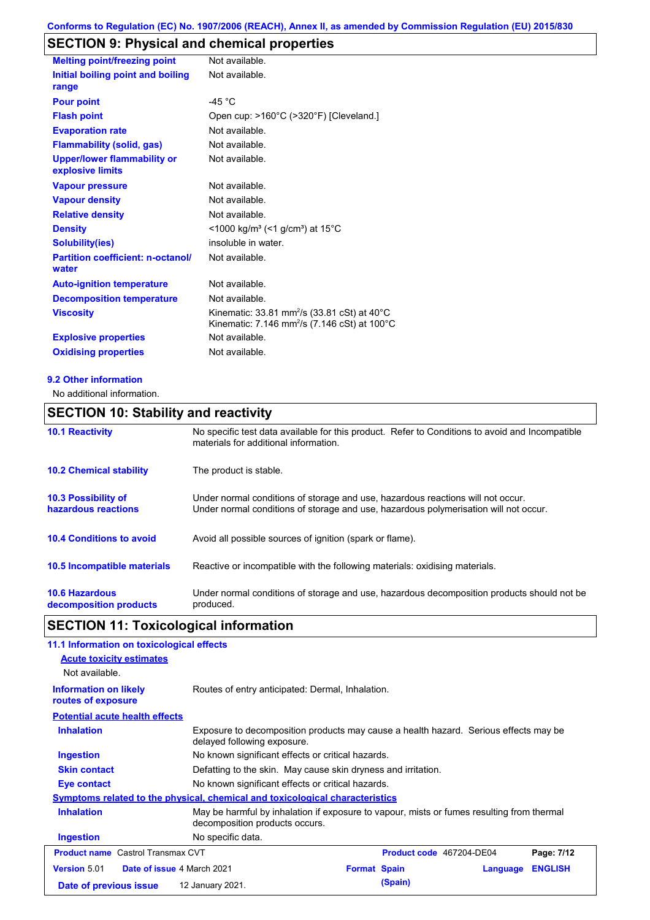# **SECTION 9: Physical and chemical properties**

| <b>Melting point/freezing point</b>                    | Not available.                                                                                                                            |
|--------------------------------------------------------|-------------------------------------------------------------------------------------------------------------------------------------------|
| Initial boiling point and boiling<br>range             | Not available.                                                                                                                            |
| <b>Pour point</b>                                      | -45 $^{\circ}$ C                                                                                                                          |
| <b>Flash point</b>                                     | Open cup: >160°C (>320°F) [Cleveland.]                                                                                                    |
| <b>Evaporation rate</b>                                | Not available.                                                                                                                            |
| <b>Flammability (solid, gas)</b>                       | Not available.                                                                                                                            |
| <b>Upper/lower flammability or</b><br>explosive limits | Not available.                                                                                                                            |
| <b>Vapour pressure</b>                                 | Not available.                                                                                                                            |
| <b>Vapour density</b>                                  | Not available.                                                                                                                            |
| <b>Relative density</b>                                | Not available.                                                                                                                            |
| <b>Density</b>                                         | <1000 kg/m <sup>3</sup> (<1 g/cm <sup>3</sup> ) at 15°C                                                                                   |
| <b>Solubility(ies)</b>                                 | insoluble in water.                                                                                                                       |
| <b>Partition coefficient: n-octanol/</b><br>water      | Not available.                                                                                                                            |
| <b>Auto-ignition temperature</b>                       | Not available.                                                                                                                            |
| <b>Decomposition temperature</b>                       | Not available.                                                                                                                            |
| <b>Viscosity</b>                                       | Kinematic: 33.81 mm <sup>2</sup> /s (33.81 cSt) at 40 $^{\circ}$ C<br>Kinematic: 7.146 mm <sup>2</sup> /s (7.146 cSt) at 100 $^{\circ}$ C |
| <b>Explosive properties</b>                            | Not available.                                                                                                                            |
| <b>Oxidising properties</b>                            | Not available.                                                                                                                            |

#### **9.2 Other information**

No additional information.

## **SECTION 10: Stability and reactivity**

| <b>10.1 Reactivity</b>                            | No specific test data available for this product. Refer to Conditions to avoid and Incompatible<br>materials for additional information.                                |
|---------------------------------------------------|-------------------------------------------------------------------------------------------------------------------------------------------------------------------------|
| <b>10.2 Chemical stability</b>                    | The product is stable.                                                                                                                                                  |
| <b>10.3 Possibility of</b><br>hazardous reactions | Under normal conditions of storage and use, hazardous reactions will not occur.<br>Under normal conditions of storage and use, hazardous polymerisation will not occur. |
| <b>10.4 Conditions to avoid</b>                   | Avoid all possible sources of ignition (spark or flame).                                                                                                                |
| <b>10.5 Incompatible materials</b>                | Reactive or incompatible with the following materials: oxidising materials.                                                                                             |
| <b>10.6 Hazardous</b><br>decomposition products   | Under normal conditions of storage and use, hazardous decomposition products should not be<br>produced.                                                                 |

# **SECTION 11: Toxicological information**

| 11.1 Information on toxicological effects                        |                                                                                                                             |                     |                          |          |                |
|------------------------------------------------------------------|-----------------------------------------------------------------------------------------------------------------------------|---------------------|--------------------------|----------|----------------|
| <b>Acute toxicity estimates</b>                                  |                                                                                                                             |                     |                          |          |                |
| Not available.                                                   |                                                                                                                             |                     |                          |          |                |
| <b>Information on likely</b><br>routes of exposure               | Routes of entry anticipated: Dermal, Inhalation.                                                                            |                     |                          |          |                |
| <b>Potential acute health effects</b>                            |                                                                                                                             |                     |                          |          |                |
| <b>Inhalation</b>                                                | Exposure to decomposition products may cause a health hazard. Serious effects may be<br>delayed following exposure.         |                     |                          |          |                |
| Ingestion                                                        | No known significant effects or critical hazards.                                                                           |                     |                          |          |                |
| <b>Skin contact</b>                                              | Defatting to the skin. May cause skin dryness and irritation.                                                               |                     |                          |          |                |
| No known significant effects or critical hazards.<br>Eye contact |                                                                                                                             |                     |                          |          |                |
|                                                                  | Symptoms related to the physical, chemical and toxicological characteristics                                                |                     |                          |          |                |
| <b>Inhalation</b>                                                | May be harmful by inhalation if exposure to vapour, mists or fumes resulting from thermal<br>decomposition products occurs. |                     |                          |          |                |
| <b>Ingestion</b>                                                 | No specific data.                                                                                                           |                     |                          |          |                |
| <b>Product name</b> Castrol Transmax CVT                         |                                                                                                                             |                     | Product code 467204-DE04 |          | Page: 7/12     |
| <b>Version 5.01</b><br><b>Date of issue 4 March 2021</b>         |                                                                                                                             | <b>Format Spain</b> |                          | Language | <b>ENGLISH</b> |
| Date of previous issue                                           | 12 January 2021.                                                                                                            |                     | (Spain)                  |          |                |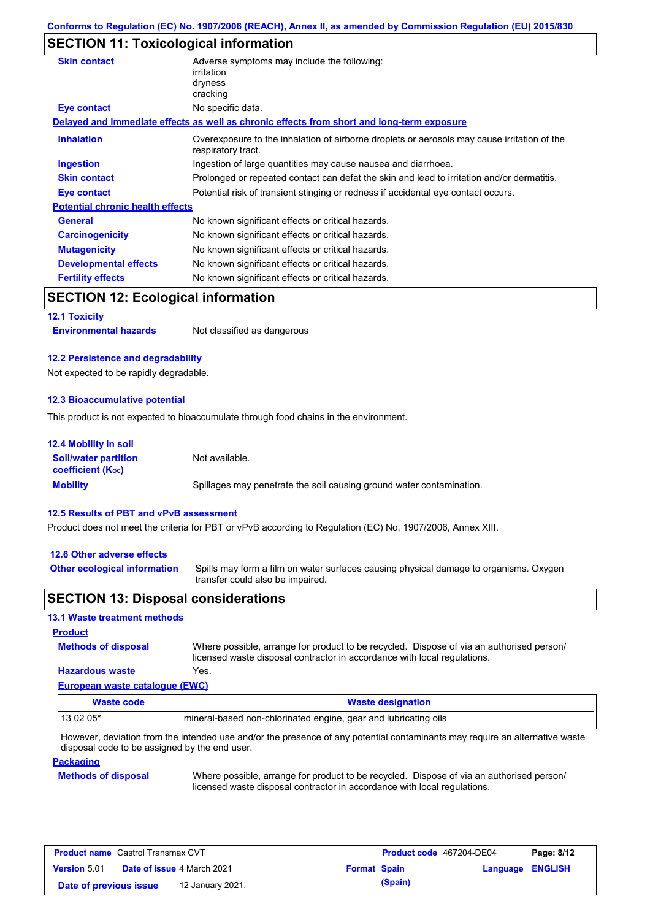### **SECTION 11: Toxicological information**

| <b>Skin contact</b>                       | Adverse symptoms may include the following:<br>irritation<br>dryness<br>cracking                                  |
|-------------------------------------------|-------------------------------------------------------------------------------------------------------------------|
| <b>Eye contact</b>                        | No specific data.                                                                                                 |
|                                           | Delayed and immediate effects as well as chronic effects from short and long-term exposure                        |
| <b>Inhalation</b>                         | Overexposure to the inhalation of airborne droplets or aerosols may cause irritation of the<br>respiratory tract. |
| <b>Ingestion</b>                          | Ingestion of large quantities may cause nausea and diarrhoea.                                                     |
| <b>Skin contact</b>                       | Prolonged or repeated contact can defat the skin and lead to irritation and/or dermatitis.                        |
| Eye contact                               | Potential risk of transient stinging or redness if accidental eye contact occurs.                                 |
| <b>Potential chronic health effects</b>   |                                                                                                                   |
| General                                   | No known significant effects or critical hazards.                                                                 |
| <b>Carcinogenicity</b>                    | No known significant effects or critical hazards.                                                                 |
| <b>Mutagenicity</b>                       | No known significant effects or critical hazards.                                                                 |
| <b>Developmental effects</b>              | No known significant effects or critical hazards.                                                                 |
| <b>Fertility effects</b>                  | No known significant effects or critical hazards.                                                                 |
| <b>SECTION 12: Ecological information</b> |                                                                                                                   |
| <b>12.1 Toxicity</b>                      |                                                                                                                   |
| <b>Environmental hazards</b>              | Not classified as dangerous                                                                                       |

#### **12.2 Persistence and degradability**

Not expected to be rapidly degradable.

#### **12.3 Bioaccumulative potential**

This product is not expected to bioaccumulate through food chains in the environment.

| <b>12.4 Mobility in soil</b>                                  |                                                                      |
|---------------------------------------------------------------|----------------------------------------------------------------------|
| <b>Soil/water partition</b><br>coefficient (K <sub>oc</sub> ) | Not available.                                                       |
| <b>Mobility</b>                                               | Spillages may penetrate the soil causing ground water contamination. |

#### **12.5 Results of PBT and vPvB assessment**

Product does not meet the criteria for PBT or vPvB according to Regulation (EC) No. 1907/2006, Annex XIII.

#### **12.6 Other adverse effects**

Spills may form a film on water surfaces causing physical damage to organisms. Oxygen transfer could also be impaired. **Other ecological information**

#### **SECTION 13: Disposal considerations**

#### **13.1 Waste treatment methods**

## **Methods of disposal Product**

**Hazardous waste** Yes. Where possible, arrange for product to be recycled. Dispose of via an authorised person/ licensed waste disposal contractor in accordance with local regulations.

## **European waste catalogue (EWC)**

| Waste code | <b>Waste designation</b>                                        |
|------------|-----------------------------------------------------------------|
| 13 02 05*  | mineral-based non-chlorinated engine, gear and lubricating oils |

However, deviation from the intended use and/or the presence of any potential contaminants may require an alternative waste disposal code to be assigned by the end user.

#### **Packaging**

#### **Methods of disposal**

Where possible, arrange for product to be recycled. Dispose of via an authorised person/ licensed waste disposal contractor in accordance with local regulations.

| <b>Product name</b> Castrol Transmax CVT                 |  | Product code 467204-DE04 |         | Page: 8/12              |  |
|----------------------------------------------------------|--|--------------------------|---------|-------------------------|--|
| <b>Date of issue 4 March 2021</b><br><b>Version 5.01</b> |  | <b>Format Spain</b>      |         | <b>Language ENGLISH</b> |  |
| 12 January 2021.<br>Date of previous issue               |  |                          | (Spain) |                         |  |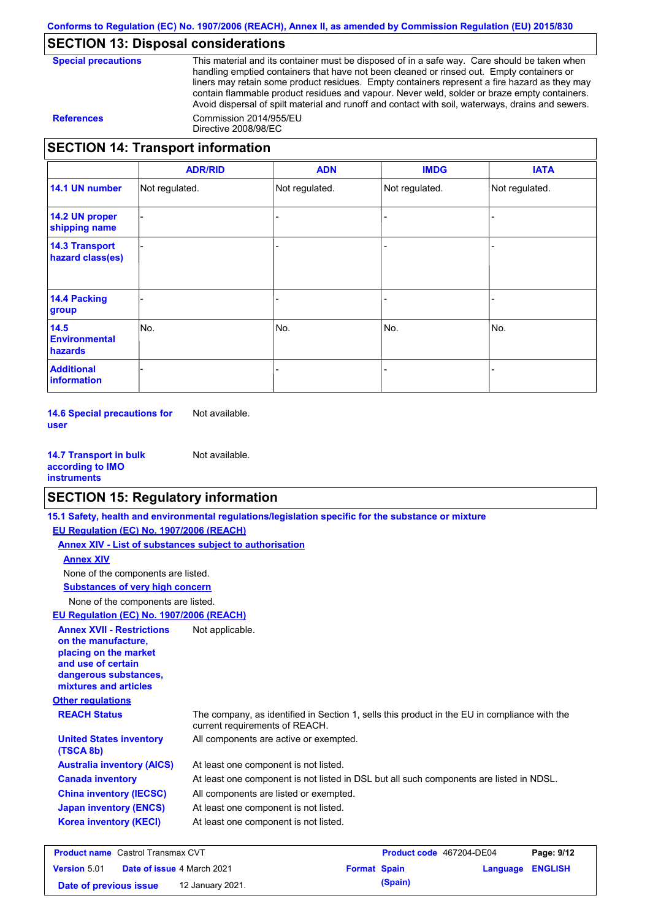## **SECTION 13: Disposal considerations**

|  | <b>Special precaution</b> |
|--|---------------------------|
|--|---------------------------|

This material and its container must be disposed of in a safe way. Care should be taken when handling emptied containers that have not been cleaned or rinsed out. Empty containers or liners may retain some product residues. Empty containers represent a fire hazard as they may contain flammable product residues and vapour. Never weld, solder or braze empty containers. Avoid dispersal of spilt material and runoff and contact with soil, waterways, drains and sewers. **References** Commission 2014/955/EU Directive 2008/98/EC

## **SECTION 14: Transport information**

|                                           | <b>ADR/RID</b> | <b>ADN</b>     | <b>IMDG</b>    | <b>IATA</b>    |  |  |
|-------------------------------------------|----------------|----------------|----------------|----------------|--|--|
| 14.1 UN number                            | Not regulated. | Not regulated. | Not regulated. | Not regulated. |  |  |
| 14.2 UN proper<br>shipping name           |                |                |                |                |  |  |
| <b>14.3 Transport</b><br>hazard class(es) |                |                |                |                |  |  |
| <b>14.4 Packing</b><br>group              |                |                |                |                |  |  |
| 14.5<br><b>Environmental</b><br>hazards   | No.            | No.            | No.            | No.            |  |  |
| <b>Additional</b><br>information          |                |                |                |                |  |  |

**14.6 Special precautions for user** Not available.

**14.7 Transport in bulk according to IMO instruments** Not available.

#### **SECTION 15: Regulatory information**

|                                                                                                                                                          | 15.1 Safety, health and environmental regulations/legislation specific for the substance or mixture                            |                                 |                 |
|----------------------------------------------------------------------------------------------------------------------------------------------------------|--------------------------------------------------------------------------------------------------------------------------------|---------------------------------|-----------------|
| EU Regulation (EC) No. 1907/2006 (REACH)                                                                                                                 |                                                                                                                                |                                 |                 |
| Annex XIV - List of substances subject to authorisation                                                                                                  |                                                                                                                                |                                 |                 |
| <b>Annex XIV</b>                                                                                                                                         |                                                                                                                                |                                 |                 |
| None of the components are listed.                                                                                                                       |                                                                                                                                |                                 |                 |
| <b>Substances of very high concern</b>                                                                                                                   |                                                                                                                                |                                 |                 |
| None of the components are listed.                                                                                                                       |                                                                                                                                |                                 |                 |
| EU Regulation (EC) No. 1907/2006 (REACH)                                                                                                                 |                                                                                                                                |                                 |                 |
| <b>Annex XVII - Restrictions</b><br>on the manufacture.<br>placing on the market<br>and use of certain<br>dangerous substances,<br>mixtures and articles | Not applicable.                                                                                                                |                                 |                 |
| <b>Other regulations</b>                                                                                                                                 |                                                                                                                                |                                 |                 |
| <b>REACH Status</b>                                                                                                                                      | The company, as identified in Section 1, sells this product in the EU in compliance with the<br>current requirements of REACH. |                                 |                 |
| <b>United States inventory</b><br>(TSCA 8b)                                                                                                              | All components are active or exempted.                                                                                         |                                 |                 |
| <b>Australia inventory (AICS)</b>                                                                                                                        | At least one component is not listed.                                                                                          |                                 |                 |
| <b>Canada inventory</b>                                                                                                                                  | At least one component is not listed in DSL but all such components are listed in NDSL.                                        |                                 |                 |
| <b>China inventory (IECSC)</b>                                                                                                                           | All components are listed or exempted.                                                                                         |                                 |                 |
| <b>Japan inventory (ENCS)</b>                                                                                                                            | At least one component is not listed.                                                                                          |                                 |                 |
| <b>Korea inventory (KECI)</b>                                                                                                                            | At least one component is not listed.                                                                                          |                                 |                 |
| <b>Broduct name</b> Castrol Transmay CVT                                                                                                                 |                                                                                                                                | <b>Droduct code</b> 467204 DE04 | $D2Q2$ , $Q/42$ |

| <b>Product name</b> Castrol Transmax CVT |  |                                   | Product code 467204-DE04 |         | Page: 9/12              |  |
|------------------------------------------|--|-----------------------------------|--------------------------|---------|-------------------------|--|
| <b>Version 5.01</b>                      |  | <b>Date of issue 4 March 2021</b> | <b>Format Spain</b>      |         | <b>Language ENGLISH</b> |  |
| Date of previous issue                   |  | 12 January 2021.                  |                          | (Spain) |                         |  |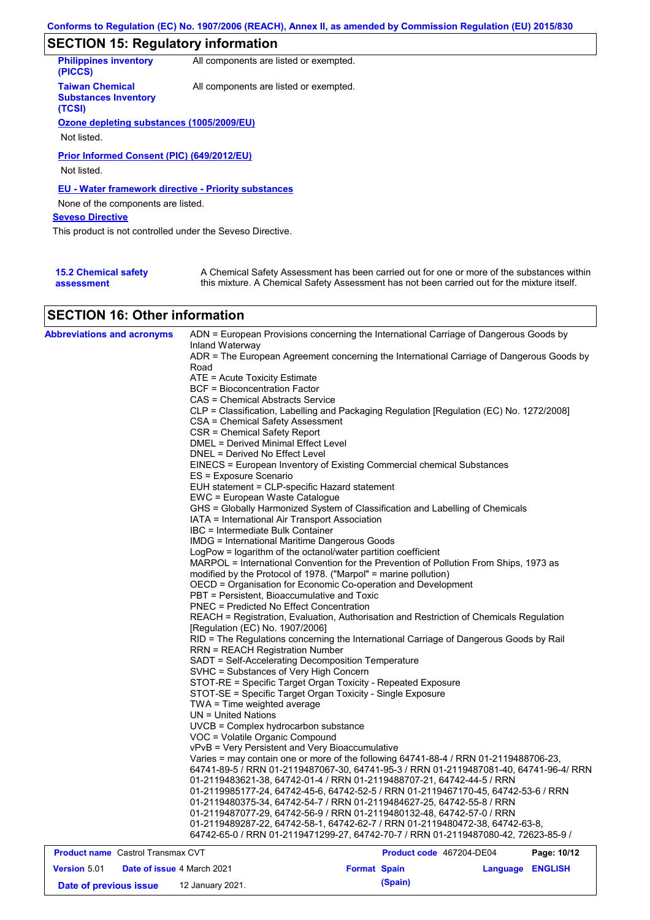# **SECTION 15: Regulatory information**

| <b>Philippines inventory</b><br>(PICCS)                         | All components are listed or exempted. |
|-----------------------------------------------------------------|----------------------------------------|
| <b>Taiwan Chemical</b><br><b>Substances Inventory</b><br>(TCSI) | All components are listed or exempted. |
| Ozone depleting substances (1005/2009/EU)                       |                                        |
|                                                                 |                                        |
| Not listed.                                                     |                                        |
| Prior Informed Consent (PIC) (649/2012/EU)<br>Not listed.       |                                        |
| EU - Water framework directive - Priority substances            |                                        |
| None of the components are listed.                              |                                        |
| <b>Seveso Directive</b>                                         |                                        |
| This product is not controlled under the Seveso Directive.      |                                        |
|                                                                 |                                        |
|                                                                 |                                        |

| <b>15.2 Chemical safety</b> | A Chemical Safety Assessment has been carried out for one or more of the substances within  |
|-----------------------------|---------------------------------------------------------------------------------------------|
| assessment                  | this mixture. A Chemical Safety Assessment has not been carried out for the mixture itself. |

## **SECTION 16: Other information**

| <b>Product name</b> Castrol Transmax CVT | Product code 467204-DE04<br>Page: 10/12                                                          |
|------------------------------------------|--------------------------------------------------------------------------------------------------|
|                                          | 64742-65-0 / RRN 01-2119471299-27, 64742-70-7 / RRN 01-2119487080-42, 72623-85-9 /               |
|                                          | 01-2119489287-22, 64742-58-1, 64742-62-7 / RRN 01-2119480472-38, 64742-63-8,                     |
|                                          | 01-2119487077-29, 64742-56-9 / RRN 01-2119480132-48, 64742-57-0 / RRN                            |
|                                          | 01-2119480375-34, 64742-54-7 / RRN 01-2119484627-25, 64742-55-8 / RRN                            |
|                                          | 01-2119985177-24, 64742-45-6, 64742-52-5 / RRN 01-2119467170-45, 64742-53-6 / RRN                |
|                                          | 01-2119483621-38, 64742-01-4 / RRN 01-2119488707-21, 64742-44-5 / RRN                            |
|                                          | 64741-89-5 / RRN 01-2119487067-30, 64741-95-3 / RRN 01-2119487081-40, 64741-96-4/ RRN            |
|                                          | Varies = may contain one or more of the following 64741-88-4 / RRN 01-2119488706-23,             |
|                                          | vPvB = Very Persistent and Very Bioaccumulative                                                  |
|                                          | VOC = Volatile Organic Compound                                                                  |
|                                          | UVCB = Complex hydrocarbon substance                                                             |
|                                          | TWA = Time weighted average<br>$UN = United Nations$                                             |
|                                          | STOT-SE = Specific Target Organ Toxicity - Single Exposure                                       |
|                                          | STOT-RE = Specific Target Organ Toxicity - Repeated Exposure                                     |
|                                          | SVHC = Substances of Very High Concern                                                           |
|                                          | SADT = Self-Accelerating Decomposition Temperature                                               |
|                                          | RRN = REACH Registration Number                                                                  |
|                                          | RID = The Regulations concerning the International Carriage of Dangerous Goods by Rail           |
|                                          | [Regulation (EC) No. 1907/2006]                                                                  |
|                                          | REACH = Registration, Evaluation, Authorisation and Restriction of Chemicals Regulation          |
|                                          | <b>PNEC = Predicted No Effect Concentration</b>                                                  |
|                                          | PBT = Persistent, Bioaccumulative and Toxic                                                      |
|                                          | OECD = Organisation for Economic Co-operation and Development                                    |
|                                          | modified by the Protocol of 1978. ("Marpol" = marine pollution)                                  |
|                                          | MARPOL = International Convention for the Prevention of Pollution From Ships, 1973 as            |
|                                          | LogPow = logarithm of the octanol/water partition coefficient                                    |
|                                          | IMDG = International Maritime Dangerous Goods                                                    |
|                                          | <b>IBC</b> = Intermediate Bulk Container                                                         |
|                                          | IATA = International Air Transport Association                                                   |
|                                          | GHS = Globally Harmonized System of Classification and Labelling of Chemicals                    |
|                                          | EWC = European Waste Catalogue                                                                   |
|                                          | EUH statement = CLP-specific Hazard statement                                                    |
|                                          | EINECS = European Inventory of Existing Commercial chemical Substances<br>ES = Exposure Scenario |
|                                          | DNEL = Derived No Effect Level                                                                   |
|                                          | DMEL = Derived Minimal Effect Level                                                              |
|                                          | CSR = Chemical Safety Report                                                                     |
|                                          | CSA = Chemical Safety Assessment                                                                 |
|                                          | CLP = Classification, Labelling and Packaging Regulation [Regulation (EC) No. 1272/2008]         |
|                                          | CAS = Chemical Abstracts Service                                                                 |
|                                          | BCF = Bioconcentration Factor                                                                    |
|                                          | ATE = Acute Toxicity Estimate                                                                    |
|                                          | Road                                                                                             |
|                                          | ADR = The European Agreement concerning the International Carriage of Dangerous Goods by         |
|                                          | Inland Waterway                                                                                  |

| <b>FIGURE INCORDING CONTROLLER CONTROLLER</b> |                                   |                     |         | <b>FIGURE COUP 407 ZU4-DEU4</b> | <b>Faut.</b> 1974 |
|-----------------------------------------------|-----------------------------------|---------------------|---------|---------------------------------|-------------------|
| <b>Version 5.01</b>                           | <b>Date of issue 4 March 2021</b> | <b>Format Spain</b> |         | Language ENGLISH                |                   |
| Date of previous issue                        | 12 January 2021.                  |                     | (Spain) |                                 |                   |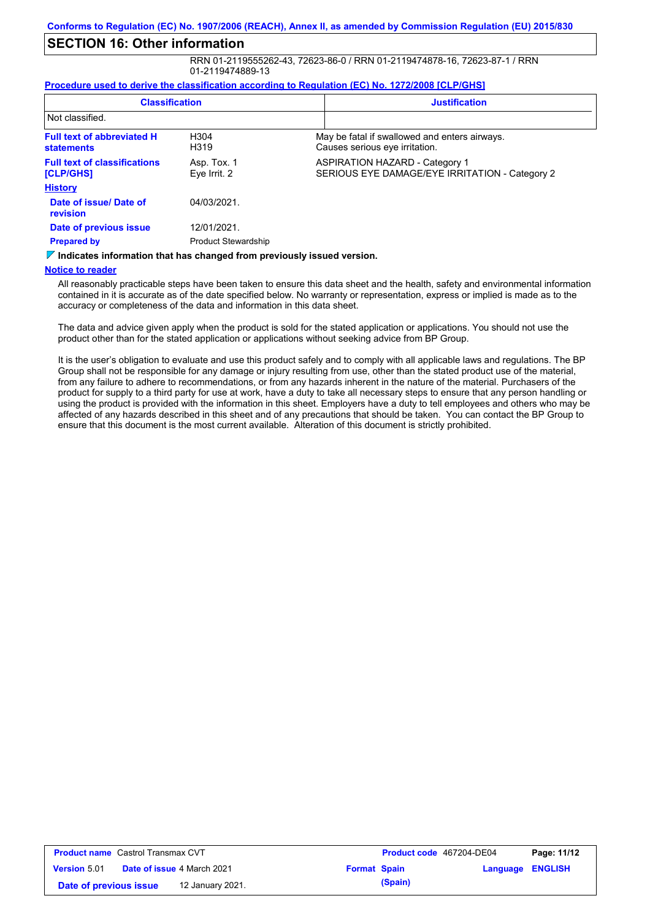#### **SECTION 16: Other information**

RRN 01-2119555262-43, 72623-86-0 / RRN 01-2119474878-16, 72623-87-1 / RRN 01-2119474889-13

#### **Procedure used to derive the classification according to Regulation (EC) No. 1272/2008 [CLP/GHS]**

| <b>Classification</b><br>Not classified.                                    |                             | <b>Justification</b> |                                                                                         |
|-----------------------------------------------------------------------------|-----------------------------|----------------------|-----------------------------------------------------------------------------------------|
|                                                                             |                             |                      |                                                                                         |
| <b>Full text of abbreviated H</b><br><b>statements</b>                      | H <sub>304</sub><br>H319    |                      | May be fatal if swallowed and enters airways.<br>Causes serious eye irritation.         |
| <b>Full text of classifications</b><br>[CLP/GHS]                            | Asp. Tox. 1<br>Eye Irrit. 2 |                      | <b>ASPIRATION HAZARD - Category 1</b><br>SERIOUS EYE DAMAGE/EYE IRRITATION - Category 2 |
| <b>History</b>                                                              |                             |                      |                                                                                         |
| Date of issue/Date of<br>revision                                           | 04/03/2021.                 |                      |                                                                                         |
| Date of previous issue                                                      | 12/01/2021.                 |                      |                                                                                         |
| <b>Prepared by</b>                                                          | <b>Product Stewardship</b>  |                      |                                                                                         |
| Viladianten lafamanten tien han eisenen difuen annibereitetelt familien der |                             |                      |                                                                                         |

**Indicates information that has changed from previously issued version.**

#### **Notice to reader**

All reasonably practicable steps have been taken to ensure this data sheet and the health, safety and environmental information contained in it is accurate as of the date specified below. No warranty or representation, express or implied is made as to the accuracy or completeness of the data and information in this data sheet.

The data and advice given apply when the product is sold for the stated application or applications. You should not use the product other than for the stated application or applications without seeking advice from BP Group.

It is the user's obligation to evaluate and use this product safely and to comply with all applicable laws and regulations. The BP Group shall not be responsible for any damage or injury resulting from use, other than the stated product use of the material, from any failure to adhere to recommendations, or from any hazards inherent in the nature of the material. Purchasers of the product for supply to a third party for use at work, have a duty to take all necessary steps to ensure that any person handling or using the product is provided with the information in this sheet. Employers have a duty to tell employees and others who may be affected of any hazards described in this sheet and of any precautions that should be taken. You can contact the BP Group to ensure that this document is the most current available. Alteration of this document is strictly prohibited.

| <b>Product name</b> Castrol Transmax CVT |  |                                   | <b>Product code</b> 467204-DE04 |         | Page: 11/12             |  |
|------------------------------------------|--|-----------------------------------|---------------------------------|---------|-------------------------|--|
| <b>Version 5.01</b>                      |  | <b>Date of issue 4 March 2021</b> | <b>Format Spain</b>             |         | <b>Language ENGLISH</b> |  |
| Date of previous issue                   |  | 12 January 2021.                  |                                 | (Spain) |                         |  |